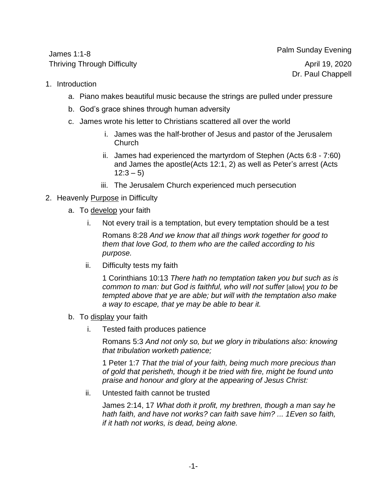James 1:1-8 Thriving Through Difficulty April 19, 2020

Palm Sunday Evening Dr. Paul Chappell

- 1. Introduction
	- a. Piano makes beautiful music because the strings are pulled under pressure
	- b. God's grace shines through human adversity
	- c. James wrote his letter to Christians scattered all over the world
		- i. James was the half-brother of Jesus and pastor of the Jerusalem Church
		- ii. James had experienced the martyrdom of Stephen (Acts 6:8 7:60) and James the apostle(Acts 12:1, 2) as well as Peter's arrest (Acts  $12:3 - 5$
		- iii. The Jerusalem Church experienced much persecution

## 2. Heavenly Purpose in Difficulty

- a. To develop your faith
	- i. Not every trail is a temptation, but every temptation should be a test

Romans 8:28 *And we know that all things work together for good to them that love God, to them who are the called according to his purpose.*

ii. Difficulty tests my faith

1 Corinthians 10:13 *There hath no temptation taken you but such as is common to man: but God is faithful, who will not suffer* [allow] *you to be tempted above that ye are able; but will with the temptation also make a way to escape, that ye may be able to bear it.*

- b. To display your faith
	- i. Tested faith produces patience

Romans 5:3 *And not only so, but we glory in tribulations also: knowing that tribulation worketh patience;*

1 Peter 1:7 *That the trial of your faith, being much more precious than of gold that perisheth, though it be tried with fire, might be found unto praise and honour and glory at the appearing of Jesus Christ:*

ii. Untested faith cannot be trusted

James 2:14, 17 *What doth it profit, my brethren, though a man say he hath faith, and have not works? can faith save him? ... 1Even so faith, if it hath not works, is dead, being alone.*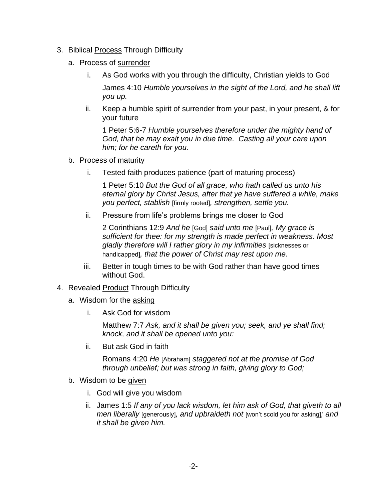- 3. Biblical Process Through Difficulty
	- a. Process of surrender
		- i. As God works with you through the difficulty, Christian yields to God James 4:10 *Humble yourselves in the sight of the Lord, and he shall lift you up.*
		- ii. Keep a humble spirit of surrender from your past, in your present, & for your future

1 Peter 5:6-7 *Humble yourselves therefore under the mighty hand of God, that he may exalt you in due time. Casting all your care upon him; for he careth for you.*

- b. Process of maturity
	- i. Tested faith produces patience (part of maturing process)

1 Peter 5:10 *But the God of all grace, who hath called us unto his eternal glory by Christ Jesus, after that ye have suffered a while, make you perfect, stablish* [firmly rooted]*, strengthen, settle you.*

ii. Pressure from life's problems brings me closer to God

2 Corinthians 12:9 *And he* [God] *said unto me* [Paul]*, My grace is sufficient for thee: for my strength is made perfect in weakness. Most gladly therefore will I rather glory in my infirmities* [sicknesses or handicapped]*, that the power of Christ may rest upon me.*

- iii. Better in tough times to be with God rather than have good times without God.
- 4. Revealed Product Through Difficulty
	- a. Wisdom for the asking
		- i. Ask God for wisdom

Matthew 7:7 *Ask, and it shall be given you; seek, and ye shall find; knock, and it shall be opened unto you:*

ii. But ask God in faith

Romans 4:20 *He* [Abraham] *staggered not at the promise of God through unbelief; but was strong in faith, giving glory to God;*

- b. Wisdom to be given
	- i. God will give you wisdom
	- ii. James 1:5 *If any of you lack wisdom, let him ask of God, that giveth to all men liberally* [generously]*, and upbraideth not* [won't scold you for asking]*; and it shall be given him.*